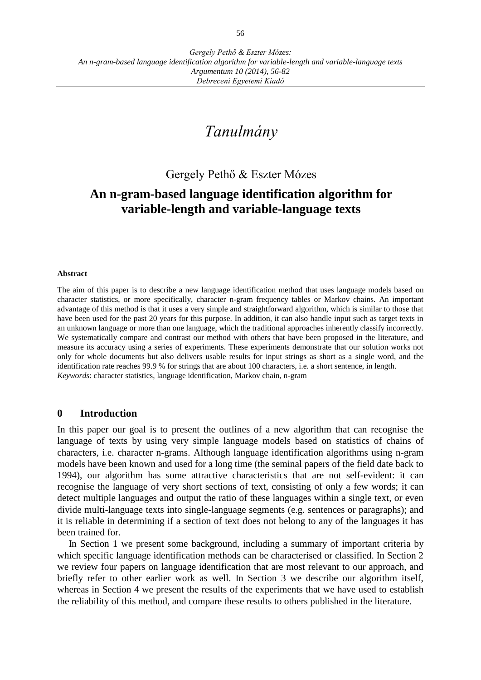# *Tanulmány*

Gergely Pethő & Eszter Mózes

## **An n-gram-based language identification algorithm for variable-length and variable-language texts**

#### **Abstract**

The aim of this paper is to describe a new language identification method that uses language models based on character statistics, or more specifically, character n-gram frequency tables or Markov chains. An important advantage of this method is that it uses a very simple and straightforward algorithm, which is similar to those that have been used for the past 20 years for this purpose. In addition, it can also handle input such as target texts in an unknown language or more than one language, which the traditional approaches inherently classify incorrectly. We systematically compare and contrast our method with others that have been proposed in the literature, and measure its accuracy using a series of experiments. These experiments demonstrate that our solution works not only for whole documents but also delivers usable results for input strings as short as a single word, and the identification rate reaches 99.9 % for strings that are about 100 characters, i.e. a short sentence, in length. *Keywords*: character statistics, language identification, Markov chain, n-gram

#### **0 Introduction**

In this paper our goal is to present the outlines of a new algorithm that can recognise the language of texts by using very simple language models based on statistics of chains of characters, i.e. character n-grams. Although language identification algorithms using n-gram models have been known and used for a long time (the seminal papers of the field date back to 1994), our algorithm has some attractive characteristics that are not self-evident: it can recognise the language of very short sections of text, consisting of only a few words; it can detect multiple languages and output the ratio of these languages within a single text, or even divide multi-language texts into single-language segments (e.g. sentences or paragraphs); and it is reliable in determining if a section of text does not belong to any of the languages it has been trained for.

In Section 1 we present some background, including a summary of important criteria by which specific language identification methods can be characterised or classified. In Section 2 we review four papers on language identification that are most relevant to our approach, and briefly refer to other earlier work as well. In Section 3 we describe our algorithm itself, whereas in Section 4 we present the results of the experiments that we have used to establish the reliability of this method, and compare these results to others published in the literature.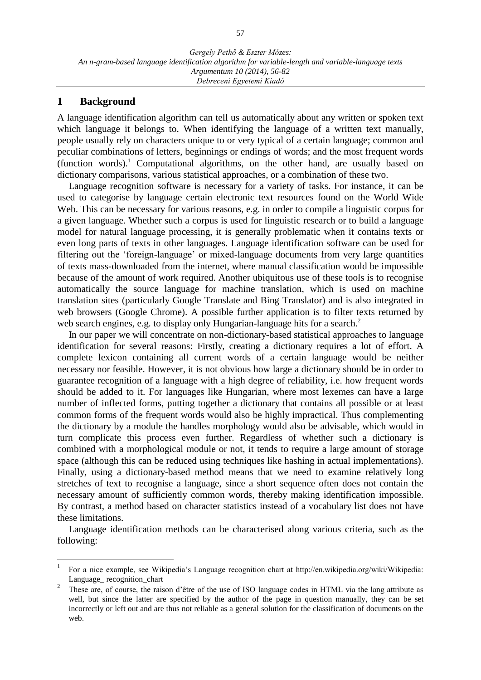### **1 Background**

 $\overline{a}$ 

A language identification algorithm can tell us automatically about any written or spoken text which language it belongs to. When identifying the language of a written text manually, people usually rely on characters unique to or very typical of a certain language; common and peculiar combinations of letters, beginnings or endings of words; and the most frequent words (function words).<sup>1</sup> Computational algorithms, on the other hand, are usually based on dictionary comparisons, various statistical approaches, or a combination of these two.

Language recognition software is necessary for a variety of tasks. For instance, it can be used to categorise by language certain electronic text resources found on the World Wide Web. This can be necessary for various reasons, e.g. in order to compile a linguistic corpus for a given language. Whether such a corpus is used for linguistic research or to build a language model for natural language processing, it is generally problematic when it contains texts or even long parts of texts in other languages. Language identification software can be used for filtering out the 'foreign-language' or mixed-language documents from very large quantities of texts mass-downloaded from the internet, where manual classification would be impossible because of the amount of work required. Another ubiquitous use of these tools is to recognise automatically the source language for machine translation, which is used on machine translation sites (particularly Google Translate and Bing Translator) and is also integrated in web browsers (Google Chrome). A possible further application is to filter texts returned by web search engines, e.g. to display only Hungarian-language hits for a search.<sup>2</sup>

In our paper we will concentrate on non-dictionary-based statistical approaches to language identification for several reasons: Firstly, creating a dictionary requires a lot of effort. A complete lexicon containing all current words of a certain language would be neither necessary nor feasible. However, it is not obvious how large a dictionary should be in order to guarantee recognition of a language with a high degree of reliability, i.e. how frequent words should be added to it. For languages like Hungarian, where most lexemes can have a large number of inflected forms, putting together a dictionary that contains all possible or at least common forms of the frequent words would also be highly impractical. Thus complementing the dictionary by a module the handles morphology would also be advisable, which would in turn complicate this process even further. Regardless of whether such a dictionary is combined with a morphological module or not, it tends to require a large amount of storage space (although this can be reduced using techniques like hashing in actual implementations). Finally, using a dictionary-based method means that we need to examine relatively long stretches of text to recognise a language, since a short sequence often does not contain the necessary amount of sufficiently common words, thereby making identification impossible. By contrast, a method based on character statistics instead of a vocabulary list does not have these limitations.

Language identification methods can be characterised along various criteria, such as the following:

<sup>1</sup> For a nice example, see Wikipedia's Language recognition chart at http://en.wikipedia.org/wiki/Wikipedia: Language recognition chart

<sup>2</sup> These are, of course, the raison d'être of the use of ISO language codes in HTML via the lang attribute as well, but since the latter are specified by the author of the page in question manually, they can be set incorrectly or left out and are thus not reliable as a general solution for the classification of documents on the web.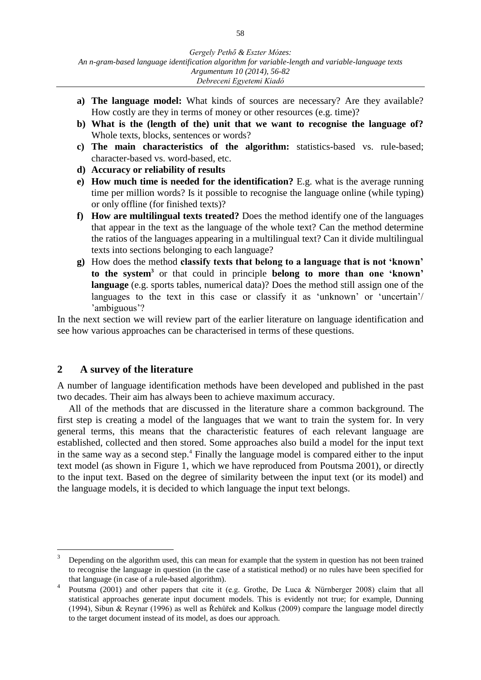- **a) The language model:** What kinds of sources are necessary? Are they available? How costly are they in terms of money or other resources (e.g. time)?
- **b) What is the (length of the) unit that we want to recognise the language of?** Whole texts, blocks, sentences or words?
- **c) The main characteristics of the algorithm:** statistics-based vs. rule-based; character-based vs. word-based, etc.
- **d) Accuracy or reliability of results**
- **e) How much time is needed for the identification?** E.g. what is the average running time per million words? Is it possible to recognise the language online (while typing) or only offline (for finished texts)?
- **f) How are multilingual texts treated?** Does the method identify one of the languages that appear in the text as the language of the whole text? Can the method determine the ratios of the languages appearing in a multilingual text? Can it divide multilingual texts into sections belonging to each language?
- **g)** How does the method **classify texts that belong to a language that is not 'known' to the system<sup>3</sup>** or that could in principle **belong to more than one 'known' language** (e.g. sports tables, numerical data)? Does the method still assign one of the languages to the text in this case or classify it as 'unknown' or 'uncertain'/ 'ambiguous'?

In the next section we will review part of the earlier literature on language identification and see how various approaches can be characterised in terms of these questions.

### **2 A survey of the literature**

 $\overline{a}$ 

A number of language identification methods have been developed and published in the past two decades. Their aim has always been to achieve maximum accuracy.

All of the methods that are discussed in the literature share a common background. The first step is creating a model of the languages that we want to train the system for. In very general terms, this means that the characteristic features of each relevant language are established, collected and then stored. Some approaches also build a model for the input text in the same way as a second step.<sup>4</sup> Finally the language model is compared either to the input text model (as shown in Figure 1, which we have reproduced from Poutsma 2001), or directly to the input text. Based on the degree of similarity between the input text (or its model) and the language models, it is decided to which language the input text belongs.

<sup>3</sup> Depending on the algorithm used, this can mean for example that the system in question has not been trained to recognise the language in question (in the case of a statistical method) or no rules have been specified for that language (in case of a rule-based algorithm).

<sup>4</sup> Poutsma (2001) and other papers that cite it (e.g. Grothe, De Luca & Nürnberger 2008) claim that all statistical approaches generate input document models. This is evidently not true; for example, Dunning (1994), Sibun & Reynar (1996) as well as Řehůřek and Kolkus (2009) compare the language model directly to the target document instead of its model, as does our approach.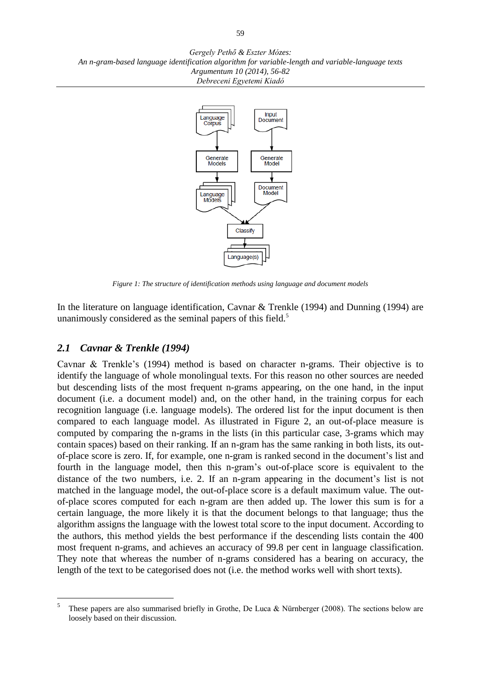

*Figure 1: The structure of identification methods using language and document models*

In the literature on language identification, Cavnar & Trenkle (1994) and Dunning (1994) are unanimously considered as the seminal papers of this field.<sup>5</sup>

### *2.1 Cavnar & Trenkle (1994)*

 $\overline{a}$ 

Cavnar & Trenkle's (1994) method is based on character n-grams. Their objective is to identify the language of whole monolingual texts. For this reason no other sources are needed but descending lists of the most frequent n-grams appearing, on the one hand, in the input document (i.e. a document model) and, on the other hand, in the training corpus for each recognition language (i.e. language models). The ordered list for the input document is then compared to each language model. As illustrated in Figure 2, an out-of-place measure is computed by comparing the n-grams in the lists (in this particular case, 3-grams which may contain spaces) based on their ranking. If an n-gram has the same ranking in both lists, its outof-place score is zero. If, for example, one n-gram is ranked second in the document's list and fourth in the language model, then this n-gram's out-of-place score is equivalent to the distance of the two numbers, i.e. 2. If an n-gram appearing in the document's list is not matched in the language model, the out-of-place score is a default maximum value. The outof-place scores computed for each n-gram are then added up. The lower this sum is for a certain language, the more likely it is that the document belongs to that language; thus the algorithm assigns the language with the lowest total score to the input document. According to the authors, this method yields the best performance if the descending lists contain the 400 most frequent n-grams, and achieves an accuracy of 99.8 per cent in language classification. They note that whereas the number of n-grams considered has a bearing on accuracy, the length of the text to be categorised does not (i.e. the method works well with short texts).

<sup>5</sup> These papers are also summarised briefly in Grothe, De Luca & Nürnberger (2008). The sections below are loosely based on their discussion.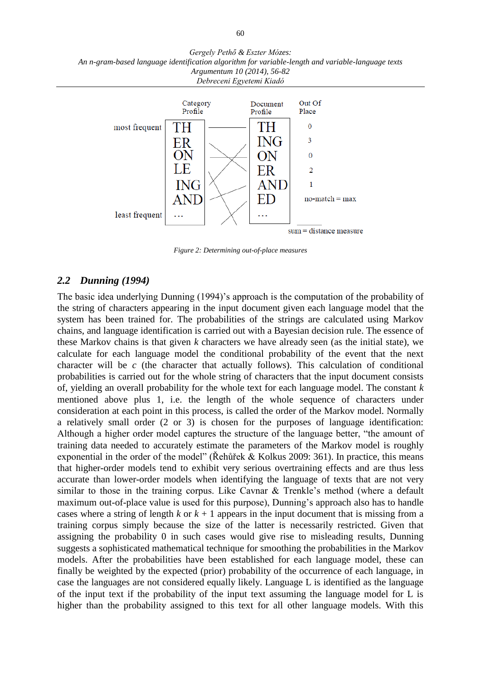



*Figure 2: Determining out-of-place measures*

### *2.2 Dunning (1994)*

The basic idea underlying Dunning (1994)'s approach is the computation of the probability of the string of characters appearing in the input document given each language model that the system has been trained for. The probabilities of the strings are calculated using Markov chains, and language identification is carried out with a Bayesian decision rule. The essence of these Markov chains is that given *k* characters we have already seen (as the initial state), we calculate for each language model the conditional probability of the event that the next character will be *c* (the character that actually follows). This calculation of conditional probabilities is carried out for the whole string of characters that the input document consists of, yielding an overall probability for the whole text for each language model. The constant *k* mentioned above plus 1, i.e. the length of the whole sequence of characters under consideration at each point in this process, is called the order of the Markov model. Normally a relatively small order (2 or 3) is chosen for the purposes of language identification: Although a higher order model captures the structure of the language better, "the amount of training data needed to accurately estimate the parameters of the Markov model is roughly exponential in the order of the model" (Řehůřek & Kolkus 2009: 361). In practice, this means that higher-order models tend to exhibit very serious overtraining effects and are thus less accurate than lower-order models when identifying the language of texts that are not very similar to those in the training corpus. Like Cavnar & Trenkle's method (where a default maximum out-of-place value is used for this purpose), Dunning's approach also has to handle cases where a string of length  $k$  or  $k + 1$  appears in the input document that is missing from a training corpus simply because the size of the latter is necessarily restricted. Given that assigning the probability 0 in such cases would give rise to misleading results, Dunning suggests a sophisticated mathematical technique for smoothing the probabilities in the Markov models. After the probabilities have been established for each language model, these can finally be weighted by the expected (prior) probability of the occurrence of each language, in case the languages are not considered equally likely. Language L is identified as the language of the input text if the probability of the input text assuming the language model for L is higher than the probability assigned to this text for all other language models. With this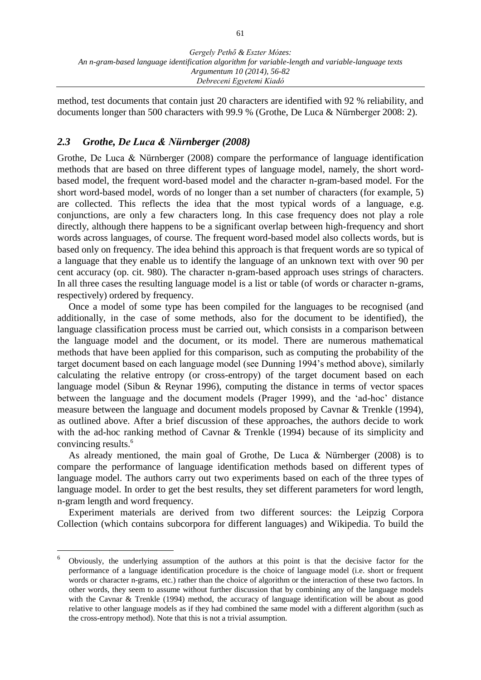method, test documents that contain just 20 characters are identified with 92 % reliability, and documents longer than 500 characters with 99.9 % (Grothe, De Luca & Nürnberger 2008: 2).

### *2.3 Grothe, De Luca & Nürnberger (2008)*

 $\overline{a}$ 

Grothe, De Luca & Nürnberger (2008) compare the performance of language identification methods that are based on three different types of language model, namely, the short wordbased model, the frequent word-based model and the character n-gram-based model. For the short word-based model, words of no longer than a set number of characters (for example, 5) are collected. This reflects the idea that the most typical words of a language, e.g. conjunctions, are only a few characters long. In this case frequency does not play a role directly, although there happens to be a significant overlap between high-frequency and short words across languages, of course. The frequent word-based model also collects words, but is based only on frequency. The idea behind this approach is that frequent words are so typical of a language that they enable us to identify the language of an unknown text with over 90 per cent accuracy (op. cit. 980). The character n-gram-based approach uses strings of characters. In all three cases the resulting language model is a list or table (of words or character n-grams, respectively) ordered by frequency.

Once a model of some type has been compiled for the languages to be recognised (and additionally, in the case of some methods, also for the document to be identified), the language classification process must be carried out, which consists in a comparison between the language model and the document, or its model. There are numerous mathematical methods that have been applied for this comparison, such as computing the probability of the target document based on each language model (see Dunning 1994's method above), similarly calculating the relative entropy (or cross-entropy) of the target document based on each language model (Sibun & Reynar 1996), computing the distance in terms of vector spaces between the language and the document models (Prager 1999), and the 'ad-hoc' distance measure between the language and document models proposed by Cavnar & Trenkle (1994), as outlined above. After a brief discussion of these approaches, the authors decide to work with the ad-hoc ranking method of Cavnar & Trenkle (1994) because of its simplicity and convincing results.<sup>6</sup>

As already mentioned, the main goal of Grothe, De Luca  $\&$  Nürnberger (2008) is to compare the performance of language identification methods based on different types of language model. The authors carry out two experiments based on each of the three types of language model. In order to get the best results, they set different parameters for word length, n-gram length and word frequency.

Experiment materials are derived from two different sources: the Leipzig Corpora Collection (which contains subcorpora for different languages) and Wikipedia. To build the

<sup>6</sup> Obviously, the underlying assumption of the authors at this point is that the decisive factor for the performance of a language identification procedure is the choice of language model (i.e. short or frequent words or character n-grams, etc.) rather than the choice of algorithm or the interaction of these two factors. In other words, they seem to assume without further discussion that by combining any of the language models with the Cavnar & Trenkle (1994) method, the accuracy of language identification will be about as good relative to other language models as if they had combined the same model with a different algorithm (such as the cross-entropy method). Note that this is not a trivial assumption.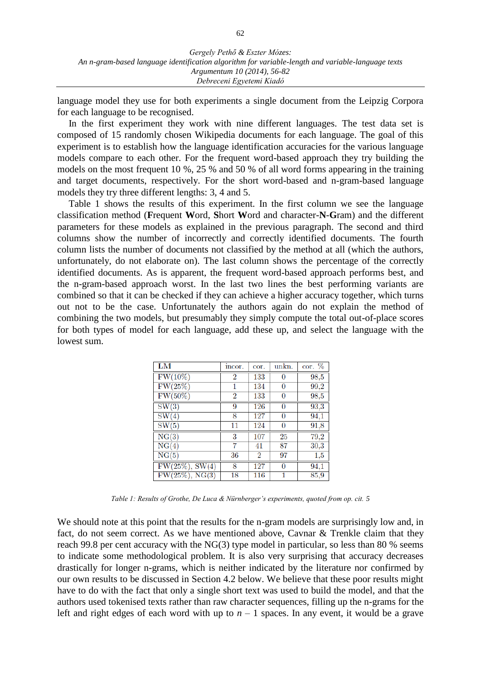language model they use for both experiments a single document from the Leipzig Corpora for each language to be recognised.

In the first experiment they work with nine different languages. The test data set is composed of 15 randomly chosen Wikipedia documents for each language. The goal of this experiment is to establish how the language identification accuracies for the various language models compare to each other. For the frequent word-based approach they try building the models on the most frequent 10 %, 25 % and 50 % of all word forms appearing in the training and target documents, respectively. For the short word-based and n-gram-based language models they try three different lengths: 3, 4 and 5.

Table 1 shows the results of this experiment. In the first column we see the language classification method (**F**requent **W**ord, **S**hort **W**ord and character-**N**-**G**ram) and the different parameters for these models as explained in the previous paragraph. The second and third columns show the number of incorrectly and correctly identified documents. The fourth column lists the number of documents not classified by the method at all (which the authors, unfortunately, do not elaborate on). The last column shows the percentage of the correctly identified documents. As is apparent, the frequent word-based approach performs best, and the n-gram-based approach worst. In the last two lines the best performing variants are combined so that it can be checked if they can achieve a higher accuracy together, which turns out not to be the case. Unfortunately the authors again do not explain the method of combining the two models, but presumably they simply compute the total out-of-place scores for both types of model for each language, add these up, and select the language with the lowest sum.

| LM                 | incor.         | cor.           | unkn.          | $cor. \%$ |
|--------------------|----------------|----------------|----------------|-----------|
| $FW(10\%)$         | $\overline{2}$ | 133            | 0              | 98,5      |
| FW(25%)            | 1              | 134            | $\overline{0}$ | 99,2      |
| $FW(50\%)$         | 2              | 133            | 0              | 98,5      |
| SW(3)              | 9              | 126            | $\overline{0}$ | 93,3      |
| SW(4)              | 8              | 127            | $\overline{0}$ | 94,1      |
| SW(5)              | 11             | 124            | 0              | 91,8      |
| NG(3)              | 3              | 107            | 25             | 79,2      |
| NG(4)              | 7              | 41             | 87             | 30,3      |
| NG(5)              | 36             | $\overline{2}$ | 97             | 1,5       |
| $FW(25\%,) SW(4)$  | 8              | 127            | $\overline{0}$ | 94,1      |
| $FW(25\%)$ , NG(3) | 18             | 116            |                | 85,9      |

*Table 1: Results of Grothe, De Luca & Nürnberger's experiments, quoted from op. cit. 5*

We should note at this point that the results for the n-gram models are surprisingly low and, in fact, do not seem correct. As we have mentioned above, Cavnar & Trenkle claim that they reach 99.8 per cent accuracy with the NG(3) type model in particular, so less than 80 % seems to indicate some methodological problem. It is also very surprising that accuracy decreases drastically for longer n-grams, which is neither indicated by the literature nor confirmed by our own results to be discussed in Section 4.2 below. We believe that these poor results might have to do with the fact that only a single short text was used to build the model, and that the authors used tokenised texts rather than raw character sequences, filling up the n-grams for the left and right edges of each word with up to  $n-1$  spaces. In any event, it would be a grave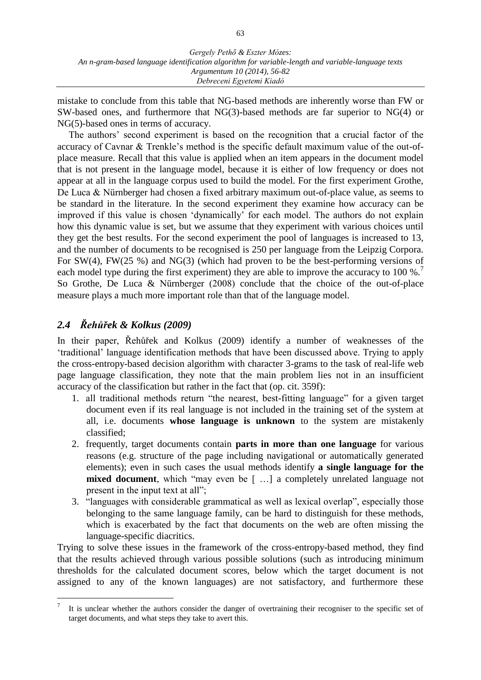mistake to conclude from this table that NG-based methods are inherently worse than FW or SW-based ones, and furthermore that NG(3)-based methods are far superior to NG(4) or NG(5)-based ones in terms of accuracy.

The authors' second experiment is based on the recognition that a crucial factor of the accuracy of Cavnar & Trenkle's method is the specific default maximum value of the out-ofplace measure. Recall that this value is applied when an item appears in the document model that is not present in the language model, because it is either of low frequency or does not appear at all in the language corpus used to build the model. For the first experiment Grothe, De Luca & Nürnberger had chosen a fixed arbitrary maximum out-of-place value, as seems to be standard in the literature. In the second experiment they examine how accuracy can be improved if this value is chosen 'dynamically' for each model. The authors do not explain how this dynamic value is set, but we assume that they experiment with various choices until they get the best results. For the second experiment the pool of languages is increased to 13, and the number of documents to be recognised is 250 per language from the Leipzig Corpora. For SW(4), FW(25 %) and NG(3) (which had proven to be the best-performing versions of each model type during the first experiment) they are able to improve the accuracy to 100 %.<sup>7</sup> So Grothe, De Luca & Nürnberger (2008) conclude that the choice of the out-of-place measure plays a much more important role than that of the language model.

### *2.4 Řehůřek & Kolkus (2009)*

 $\overline{a}$ 

In their paper, Řehůřek and Kolkus (2009) identify a number of weaknesses of the 'traditional' language identification methods that have been discussed above. Trying to apply the cross-entropy-based decision algorithm with character 3-grams to the task of real-life web page language classification, they note that the main problem lies not in an insufficient accuracy of the classification but rather in the fact that (op. cit. 359f):

- 1. all traditional methods return "the nearest, best-fitting language" for a given target document even if its real language is not included in the training set of the system at all, i.e. documents **whose language is unknown** to the system are mistakenly classified;
- 2. frequently, target documents contain **parts in more than one language** for various reasons (e.g. structure of the page including navigational or automatically generated elements); even in such cases the usual methods identify **a single language for the mixed document**, which "may even be [...] a completely unrelated language not present in the input text at all";
- 3. "languages with considerable grammatical as well as lexical overlap", especially those belonging to the same language family, can be hard to distinguish for these methods, which is exacerbated by the fact that documents on the web are often missing the language-specific diacritics.

Trying to solve these issues in the framework of the cross-entropy-based method, they find that the results achieved through various possible solutions (such as introducing minimum thresholds for the calculated document scores, below which the target document is not assigned to any of the known languages) are not satisfactory, and furthermore these

<sup>7</sup> It is unclear whether the authors consider the danger of overtraining their recogniser to the specific set of target documents, and what steps they take to avert this.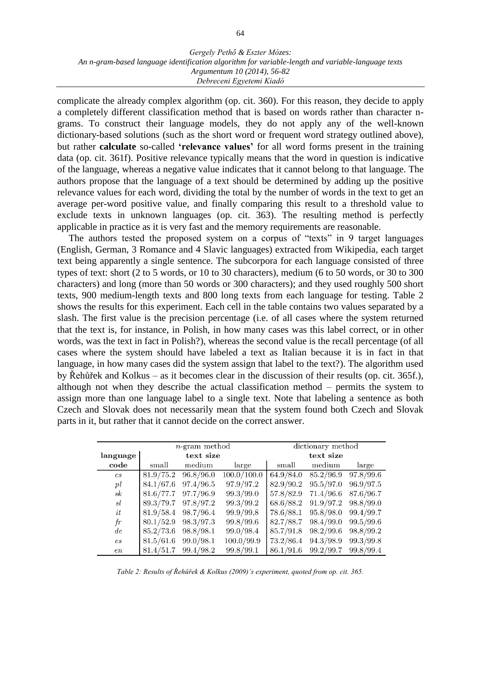complicate the already complex algorithm (op. cit. 360). For this reason, they decide to apply a completely different classification method that is based on words rather than character ngrams. To construct their language models, they do not apply any of the well-known dictionary-based solutions (such as the short word or frequent word strategy outlined above), but rather **calculate** so-called **'relevance values'** for all word forms present in the training data (op. cit. 361f). Positive relevance typically means that the word in question is indicative of the language, whereas a negative value indicates that it cannot belong to that language. The authors propose that the language of a text should be determined by adding up the positive relevance values for each word, dividing the total by the number of words in the text to get an average per-word positive value, and finally comparing this result to a threshold value to exclude texts in unknown languages (op. cit. 363). The resulting method is perfectly applicable in practice as it is very fast and the memory requirements are reasonable.

The authors tested the proposed system on a corpus of "texts" in 9 target languages (English, German, 3 Romance and 4 Slavic languages) extracted from Wikipedia, each target text being apparently a single sentence. The subcorpora for each language consisted of three types of text: short (2 to 5 words, or 10 to 30 characters), medium (6 to 50 words, or 30 to 300 characters) and long (more than 50 words or 300 characters); and they used roughly 500 short texts, 900 medium-length texts and 800 long texts from each language for testing. Table 2 shows the results for this experiment. Each cell in the table contains two values separated by a slash. The first value is the precision percentage (i.e. of all cases where the system returned that the text is, for instance, in Polish, in how many cases was this label correct, or in other words, was the text in fact in Polish?), whereas the second value is the recall percentage (of all cases where the system should have labeled a text as Italian because it is in fact in that language, in how many cases did the system assign that label to the text?). The algorithm used by Řehůřek and Kolkus – as it becomes clear in the discussion of their results (op. cit. 365f.), although not when they describe the actual classification method – permits the system to assign more than one language label to a single text. Note that labeling a sentence as both Czech and Slovak does not necessarily mean that the system found both Czech and Slovak parts in it, but rather that it cannot decide on the correct answer.

|          | $n$ -gram method |           |             | dictionary method |           |           |
|----------|------------------|-----------|-------------|-------------------|-----------|-----------|
| language |                  | text size |             |                   | text size |           |
| code     | small            | medium    | large       | small             | medium    | large     |
| cs       | 81.9/75.2        | 96.8/96.0 | 100.0/100.0 | 64.9/84.0         | 85.2/96.9 | 97.8/99.6 |
| pl       | 84.1/67.6        | 97.4/96.5 | 97.9/97.2   | 82.9/90.2         | 95.5/97.0 | 96.9/97.5 |
| sk       | 81.6/77.7        | 97.7/96.9 | 99.3/99.0   | 57.8/82.9         | 71.4/96.6 | 87.6/96.7 |
| sl       | 89.3/79.7        | 97.8/97.2 | 99.3/99.2   | 68.6/88.2         | 91.9/97.2 | 98.8/99.0 |
| it       | 81.9/58.4        | 98.7/96.4 | 99.9/99,8   | 78.6/88.1         | 95.8/98.0 | 99.4/99.7 |
| fr       | 80.1/52.9        | 98.3/97.3 | 99.8/99.6   | 82.7/88.7         | 98.4/99.0 | 99.5/99.6 |
| de       | 85.2/73.6        | 98.8/98.1 | 99.0/98.4   | 85.7/91.8         | 98.2/99.6 | 98.8/99.2 |
| es       | 81.5/61.6        | 99.0/98.1 | 100.0/99.9  | 73.2/86.4         | 94.3/98.9 | 99.3/99.8 |
| en       | 81.4/51.7        | 99.4/98.2 | 99.8/99.1   | 86.1/91.6         | 99.2/99.7 | 99.8/99.4 |

*Table 2: Results of Řehůřek & Kolkus (2009)'s experiment, quoted from op. cit. 365.*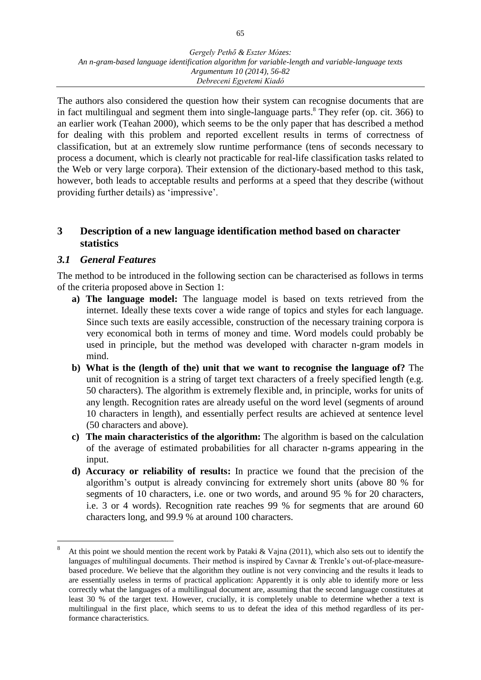The authors also considered the question how their system can recognise documents that are in fact multilingual and segment them into single-language parts. $8$  They refer (op. cit. 366) to an earlier work (Teahan 2000), which seems to be the only paper that has described a method for dealing with this problem and reported excellent results in terms of correctness of classification, but at an extremely slow runtime performance (tens of seconds necessary to process a document, which is clearly not practicable for real-life classification tasks related to the Web or very large corpora). Their extension of the dictionary-based method to this task, however, both leads to acceptable results and performs at a speed that they describe (without providing further details) as 'impressive'.

### **3 Description of a new language identification method based on character statistics**

### *3.1 General Features*

 $\overline{a}$ 

The method to be introduced in the following section can be characterised as follows in terms of the criteria proposed above in Section 1:

- **a) The language model:** The language model is based on texts retrieved from the internet. Ideally these texts cover a wide range of topics and styles for each language. Since such texts are easily accessible, construction of the necessary training corpora is very economical both in terms of money and time. Word models could probably be used in principle, but the method was developed with character n-gram models in mind.
- **b) What is the (length of the) unit that we want to recognise the language of?** The unit of recognition is a string of target text characters of a freely specified length (e.g. 50 characters). The algorithm is extremely flexible and, in principle, works for units of any length. Recognition rates are already useful on the word level (segments of around 10 characters in length), and essentially perfect results are achieved at sentence level (50 characters and above).
- **c) The main characteristics of the algorithm:** The algorithm is based on the calculation of the average of estimated probabilities for all character n-grams appearing in the input.
- **d) Accuracy or reliability of results:** In practice we found that the precision of the algorithm's output is already convincing for extremely short units (above 80 % for segments of 10 characters, i.e. one or two words, and around 95 % for 20 characters, i.e. 3 or 4 words). Recognition rate reaches 99 % for segments that are around 60 characters long, and 99.9 % at around 100 characters.

<sup>8</sup> At this point we should mention the recent work by Pataki & Vajna (2011), which also sets out to identify the languages of multilingual documents. Their method is inspired by Cavnar & Trenkle's out-of-place-measurebased procedure. We believe that the algorithm they outline is not very convincing and the results it leads to are essentially useless in terms of practical application: Apparently it is only able to identify more or less correctly what the languages of a multilingual document are, assuming that the second language constitutes at least 30 % of the target text. However, crucially, it is completely unable to determine whether a text is multilingual in the first place, which seems to us to defeat the idea of this method regardless of its performance characteristics.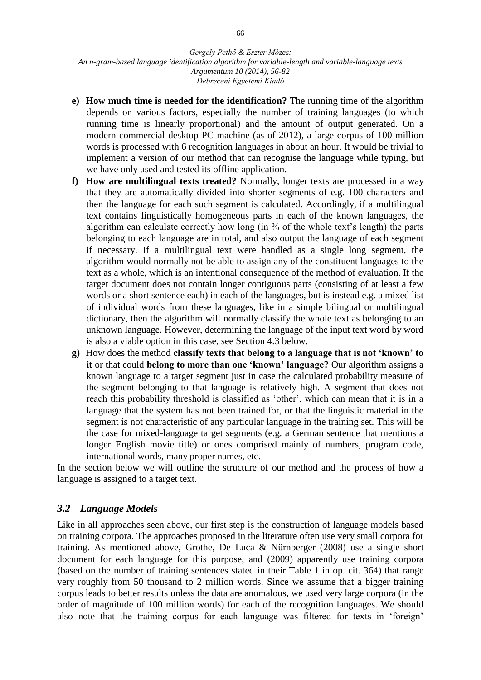- **e) How much time is needed for the identification?** The running time of the algorithm depends on various factors, especially the number of training languages (to which running time is linearly proportional) and the amount of output generated. On a modern commercial desktop PC machine (as of 2012), a large corpus of 100 million words is processed with 6 recognition languages in about an hour. It would be trivial to implement a version of our method that can recognise the language while typing, but we have only used and tested its offline application.
- **f) How are multilingual texts treated?** Normally, longer texts are processed in a way that they are automatically divided into shorter segments of e.g. 100 characters and then the language for each such segment is calculated. Accordingly, if a multilingual text contains linguistically homogeneous parts in each of the known languages, the algorithm can calculate correctly how long (in % of the whole text's length) the parts belonging to each language are in total, and also output the language of each segment if necessary. If a multilingual text were handled as a single long segment, the algorithm would normally not be able to assign any of the constituent languages to the text as a whole, which is an intentional consequence of the method of evaluation. If the target document does not contain longer contiguous parts (consisting of at least a few words or a short sentence each) in each of the languages, but is instead e.g. a mixed list of individual words from these languages, like in a simple bilingual or multilingual dictionary, then the algorithm will normally classify the whole text as belonging to an unknown language. However, determining the language of the input text word by word is also a viable option in this case, see Section 4.3 below.
- **g)** How does the method **classify texts that belong to a language that is not 'known' to it** or that could **belong to more than one 'known' language?** Our algorithm assigns a known language to a target segment just in case the calculated probability measure of the segment belonging to that language is relatively high. A segment that does not reach this probability threshold is classified as 'other', which can mean that it is in a language that the system has not been trained for, or that the linguistic material in the segment is not characteristic of any particular language in the training set. This will be the case for mixed-language target segments (e.g. a German sentence that mentions a longer English movie title) or ones comprised mainly of numbers, program code, international words, many proper names, etc.

In the section below we will outline the structure of our method and the process of how a language is assigned to a target text.

### *3.2 Language Models*

Like in all approaches seen above, our first step is the construction of language models based on training corpora. The approaches proposed in the literature often use very small corpora for training. As mentioned above, Grothe, De Luca & Nürnberger (2008) use a single short document for each language for this purpose, and (2009) apparently use training corpora (based on the number of training sentences stated in their Table 1 in op. cit. 364) that range very roughly from 50 thousand to 2 million words. Since we assume that a bigger training corpus leads to better results unless the data are anomalous, we used very large corpora (in the order of magnitude of 100 million words) for each of the recognition languages. We should also note that the training corpus for each language was filtered for texts in 'foreign'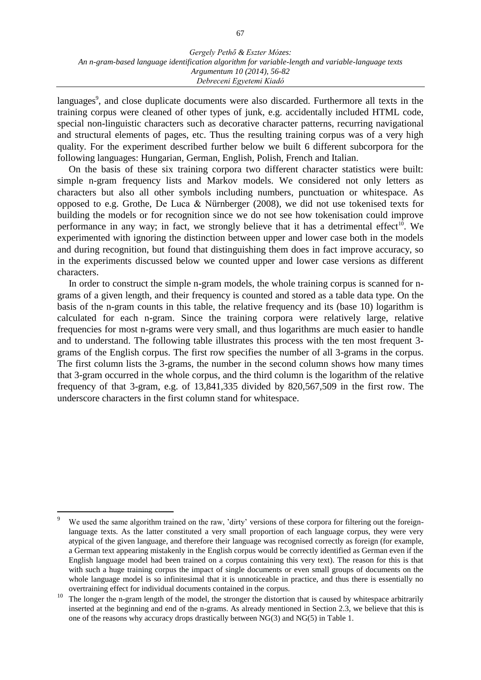languages<sup>9</sup>, and close duplicate documents were also discarded. Furthermore all texts in the training corpus were cleaned of other types of junk, e.g. accidentally included HTML code, special non-linguistic characters such as decorative character patterns, recurring navigational and structural elements of pages, etc. Thus the resulting training corpus was of a very high quality. For the experiment described further below we built 6 different subcorpora for the following languages: Hungarian, German, English, Polish, French and Italian.

On the basis of these six training corpora two different character statistics were built: simple n-gram frequency lists and Markov models. We considered not only letters as characters but also all other symbols including numbers, punctuation or whitespace. As opposed to e.g. Grothe, De Luca & Nürnberger (2008), we did not use tokenised texts for building the models or for recognition since we do not see how tokenisation could improve performance in any way; in fact, we strongly believe that it has a detrimental effect<sup>10</sup>. We experimented with ignoring the distinction between upper and lower case both in the models and during recognition, but found that distinguishing them does in fact improve accuracy, so in the experiments discussed below we counted upper and lower case versions as different characters.

In order to construct the simple n-gram models, the whole training corpus is scanned for ngrams of a given length, and their frequency is counted and stored as a table data type. On the basis of the n-gram counts in this table, the relative frequency and its (base 10) logarithm is calculated for each n-gram. Since the training corpora were relatively large, relative frequencies for most n-grams were very small, and thus logarithms are much easier to handle and to understand. The following table illustrates this process with the ten most frequent 3 grams of the English corpus. The first row specifies the number of all 3-grams in the corpus. The first column lists the 3-grams, the number in the second column shows how many times that 3-gram occurred in the whole corpus, and the third column is the logarithm of the relative frequency of that 3-gram, e.g. of 13,841,335 divided by 820,567,509 in the first row. The underscore characters in the first column stand for whitespace.

We used the same algorithm trained on the raw, 'dirty' versions of these corpora for filtering out the foreignlanguage texts. As the latter constituted a very small proportion of each language corpus, they were very atypical of the given language, and therefore their language was recognised correctly as foreign (for example, a German text appearing mistakenly in the English corpus would be correctly identified as German even if the English language model had been trained on a corpus containing this very text). The reason for this is that with such a huge training corpus the impact of single documents or even small groups of documents on the whole language model is so infinitesimal that it is unnoticeable in practice, and thus there is essentially no overtraining effect for individual documents contained in the corpus.

<sup>&</sup>lt;sup>10</sup> The longer the n-gram length of the model, the stronger the distortion that is caused by whitespace arbitrarily inserted at the beginning and end of the n-grams. As already mentioned in Section 2.3, we believe that this is one of the reasons why accuracy drops drastically between NG(3) and NG(5) in Table 1.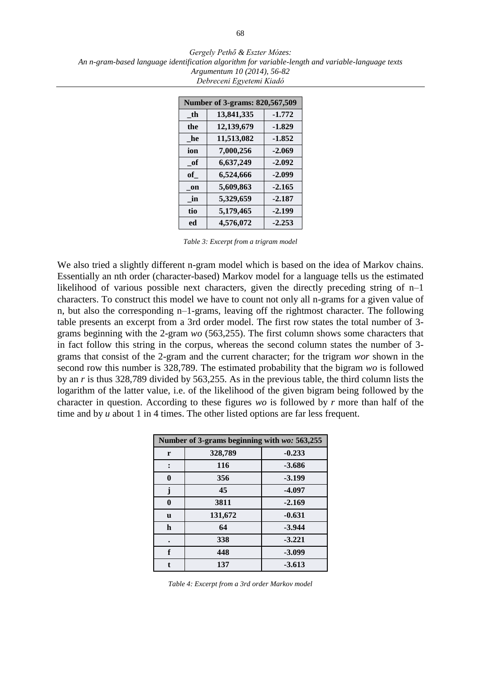*Gergely Pethő & Eszter Mózes: An n-gram-based language identification algorithm for variable-length and variable-language texts Argumentum 10 (2014), 56-82 Debreceni Egyetemi Kiadó*

| Number of 3-grams: 820,567,509 |            |          |  |
|--------------------------------|------------|----------|--|
| th                             | 13,841,335 | $-1.772$ |  |
| the                            | 12,139,679 | $-1.829$ |  |
| he                             | 11,513,082 | $-1.852$ |  |
| ion                            | 7,000,256  | $-2.069$ |  |
| - of                           | 6,637,249  | $-2.092$ |  |
| of                             | 6,524,666  | $-2.099$ |  |
| on                             | 5,609,863  | $-2.165$ |  |
| in                             | 5,329,659  | $-2.187$ |  |
| tio                            | 5,179,465  | $-2.199$ |  |
| ed                             | 4,576,072  | $-2.253$ |  |

*Table 3: Excerpt from a trigram model*

We also tried a slightly different n-gram model which is based on the idea of Markov chains. Essentially an nth order (character-based) Markov model for a language tells us the estimated likelihood of various possible next characters, given the directly preceding string of n–1 characters. To construct this model we have to count not only all n-grams for a given value of n, but also the corresponding n–1-grams, leaving off the rightmost character. The following table presents an excerpt from a 3rd order model. The first row states the total number of 3 grams beginning with the 2-gram *wo* (563,255). The first column shows some characters that in fact follow this string in the corpus, whereas the second column states the number of 3 grams that consist of the 2-gram and the current character; for the trigram *wor* shown in the second row this number is 328,789. The estimated probability that the bigram *wo* is followed by an *r* is thus 328,789 divided by 563,255. As in the previous table, the third column lists the logarithm of the latter value, i.e. of the likelihood of the given bigram being followed by the character in question. According to these figures *wo* is followed by *r* more than half of the time and by *u* about 1 in 4 times. The other listed options are far less frequent.

| Number of 3-grams beginning with wo: 563,255 |         |          |  |
|----------------------------------------------|---------|----------|--|
| r                                            | 328,789 | $-0.233$ |  |
|                                              | 116     | $-3.686$ |  |
| 0                                            | 356     | $-3.199$ |  |
| j                                            | 45      | $-4.097$ |  |
| $\boldsymbol{0}$                             | 3811    | $-2.169$ |  |
| <b>u</b>                                     | 131,672 | $-0.631$ |  |
| $\mathbf h$                                  | 64      | $-3.944$ |  |
|                                              | 338     | $-3.221$ |  |
| f                                            | 448     | $-3.099$ |  |
|                                              | 137     | $-3.613$ |  |

*Table 4: Excerpt from a 3rd order Markov model*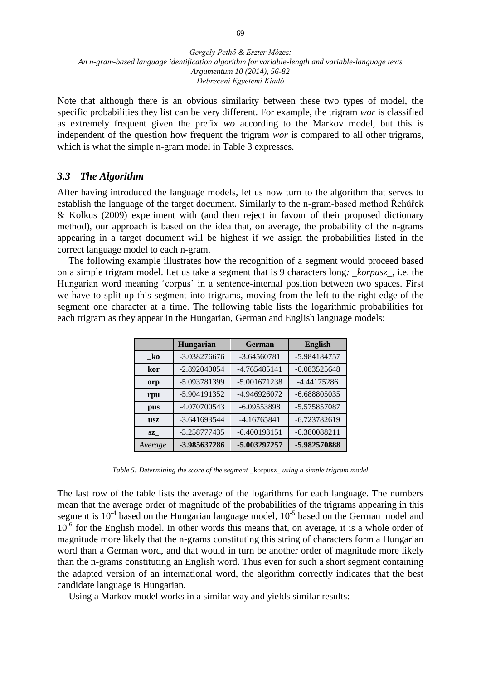Note that although there is an obvious similarity between these two types of model, the specific probabilities they list can be very different. For example, the trigram *wor* is classified as extremely frequent given the prefix *wo* according to the Markov model, but this is independent of the question how frequent the trigram *wor* is compared to all other trigrams, which is what the simple n-gram model in Table 3 expresses.

### *3.3 The Algorithm*

After having introduced the language models, let us now turn to the algorithm that serves to establish the language of the target document. Similarly to the n-gram-based method Řehůřek & Kolkus (2009) experiment with (and then reject in favour of their proposed dictionary method), our approach is based on the idea that, on average, the probability of the n-grams appearing in a target document will be highest if we assign the probabilities listed in the correct language model to each n-gram.

The following example illustrates how the recognition of a segment would proceed based on a simple trigram model. Let us take a segment that is 9 characters long*: \_korpusz\_*, i.e. the Hungarian word meaning 'corpus' in a sentence-internal position between two spaces. First we have to split up this segment into trigrams, moving from the left to the right edge of the segment one character at a time. The following table lists the logarithmic probabilities for each trigram as they appear in the Hungarian, German and English language models:

|               | <b>Hungarian</b> | German         | <b>English</b> |
|---------------|------------------|----------------|----------------|
| - ko          | $-3.038276676$   | $-3.64560781$  | -5.984184757   |
| kor           | $-2.892040054$   | $-4.765485141$ | $-6.083525648$ |
| orp           | -5.093781399     | $-5.001671238$ | -4.44175286    |
| rpu           | -5.904191352     | -4.946926072   | -6.688805035   |
| pus           | -4.070700543     | $-6.09553898$  | -5.575857087   |
| <b>usz</b>    | $-3.641693544$   | $-4.16765841$  | $-6.723782619$ |
| $\mathbf{SZ}$ | $-3.258777435$   | $-6.400193151$ | $-6.380088211$ |
| Average       | -3.985637286     | -5.003297257   | -5.982570888   |

*Table 5: Determining the score of the segment* \_korpusz\_ *using a simple trigram model*

The last row of the table lists the average of the logarithms for each language. The numbers mean that the average order of magnitude of the probabilities of the trigrams appearing in this segment is  $10<sup>-4</sup>$  based on the Hungarian language model,  $10<sup>-5</sup>$  based on the German model and 10<sup>-6</sup> for the English model. In other words this means that, on average, it is a whole order of magnitude more likely that the n-grams constituting this string of characters form a Hungarian word than a German word, and that would in turn be another order of magnitude more likely than the n-grams constituting an English word. Thus even for such a short segment containing the adapted version of an international word, the algorithm correctly indicates that the best candidate language is Hungarian.

Using a Markov model works in a similar way and yields similar results: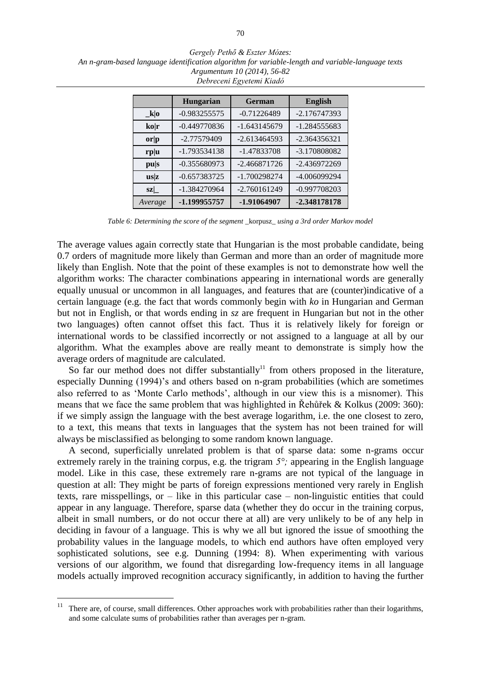*Gergely Pethő & Eszter Mózes: An n-gram-based language identification algorithm for variable-length and variable-language texts Argumentum 10 (2014), 56-82 Debreceni Egyetemi Kiadó*

|                               | <b>Hungarian</b> | <b>German</b>  | <b>English</b> |
|-------------------------------|------------------|----------------|----------------|
| $_k o $                       | $-0.983255575$   | $-0.71226489$  | $-2.176747393$ |
| $k$ o r                       | $-0.449770836$   | -1.643145679   | $-1.284555683$ |
| $\mathbf{or} \mathbf{p}$      | -2.77579409      | $-2.613464593$ | $-2.364356321$ |
| r <sub>p</sub>   <sub>u</sub> | -1.793534138     | -1.47833708    | -3.170808082   |
| pus                           | $-0.355680973$   | $-2.466871726$ | $-2.436972269$ |
| $\mathbf{u}$ s z              | $-0.657383725$   | -1.700298274   | -4.006099294   |
| sz                            | -1.384270964     | $-2.760161249$ | $-0.997708203$ |
| Average                       | -1.199955757     | -1.91064907    | -2.348178178   |

*Table 6: Determining the score of the segment* \_korpusz\_ *using a 3rd order Markov model*

The average values again correctly state that Hungarian is the most probable candidate, being 0.7 orders of magnitude more likely than German and more than an order of magnitude more likely than English. Note that the point of these examples is not to demonstrate how well the algorithm works: The character combinations appearing in international words are generally equally unusual or uncommon in all languages, and features that are (counter)indicative of a certain language (e.g. the fact that words commonly begin with *ko* in Hungarian and German but not in English, or that words ending in *sz* are frequent in Hungarian but not in the other two languages) often cannot offset this fact. Thus it is relatively likely for foreign or international words to be classified incorrectly or not assigned to a language at all by our algorithm. What the examples above are really meant to demonstrate is simply how the average orders of magnitude are calculated.

So far our method does not differ substantially<sup>11</sup> from others proposed in the literature, especially Dunning (1994)'s and others based on n-gram probabilities (which are sometimes also referred to as 'Monte Carlo methods', although in our view this is a misnomer). This means that we face the same problem that was highlighted in Řehůřek & Kolkus (2009: 360): if we simply assign the language with the best average logarithm, i.e. the one closest to zero, to a text, this means that texts in languages that the system has not been trained for will always be misclassified as belonging to some random known language.

A second, superficially unrelated problem is that of sparse data: some n-grams occur extremely rarely in the training corpus, e.g. the trigram  $5^{\circ}$ ; appearing in the English language model. Like in this case, these extremely rare n-grams are not typical of the language in question at all: They might be parts of foreign expressions mentioned very rarely in English texts, rare misspellings, or – like in this particular case – non-linguistic entities that could appear in any language. Therefore, sparse data (whether they do occur in the training corpus, albeit in small numbers, or do not occur there at all) are very unlikely to be of any help in deciding in favour of a language. This is why we all but ignored the issue of smoothing the probability values in the language models, to which end authors have often employed very sophisticated solutions, see e.g. Dunning (1994: 8). When experimenting with various versions of our algorithm, we found that disregarding low-frequency items in all language models actually improved recognition accuracy significantly, in addition to having the further

<sup>&</sup>lt;sup>11</sup> There are, of course, small differences. Other approaches work with probabilities rather than their logarithms, and some calculate sums of probabilities rather than averages per n-gram.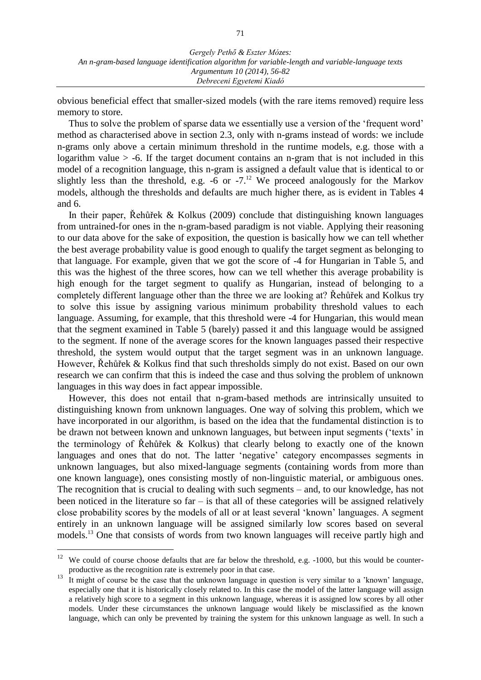obvious beneficial effect that smaller-sized models (with the rare items removed) require less memory to store.

Thus to solve the problem of sparse data we essentially use a version of the 'frequent word' method as characterised above in section 2.3, only with n-grams instead of words: we include n-grams only above a certain minimum threshold in the runtime models, e.g. those with a logarithm value  $>$  -6. If the target document contains an n-gram that is not included in this model of a recognition language, this n-gram is assigned a default value that is identical to or slightly less than the threshold, e.g.  $-6$  or  $-7$ .<sup>12</sup> We proceed analogously for the Markov models, although the thresholds and defaults are much higher there, as is evident in Tables 4 and 6.

In their paper, Řehůřek & Kolkus (2009) conclude that distinguishing known languages from untrained-for ones in the n-gram-based paradigm is not viable. Applying their reasoning to our data above for the sake of exposition, the question is basically how we can tell whether the best average probability value is good enough to qualify the target segment as belonging to that language. For example, given that we got the score of -4 for Hungarian in Table 5, and this was the highest of the three scores, how can we tell whether this average probability is high enough for the target segment to qualify as Hungarian, instead of belonging to a completely different language other than the three we are looking at? Řehůřek and Kolkus try to solve this issue by assigning various minimum probability threshold values to each language. Assuming, for example, that this threshold were -4 for Hungarian, this would mean that the segment examined in Table 5 (barely) passed it and this language would be assigned to the segment. If none of the average scores for the known languages passed their respective threshold, the system would output that the target segment was in an unknown language. However, Řehůřek & Kolkus find that such thresholds simply do not exist. Based on our own research we can confirm that this is indeed the case and thus solving the problem of unknown languages in this way does in fact appear impossible.

However, this does not entail that n-gram-based methods are intrinsically unsuited to distinguishing known from unknown languages. One way of solving this problem, which we have incorporated in our algorithm, is based on the idea that the fundamental distinction is to be drawn not between known and unknown languages, but between input segments ('texts' in the terminology of Řehůřek & Kolkus) that clearly belong to exactly one of the known languages and ones that do not. The latter 'negative' category encompasses segments in unknown languages, but also mixed-language segments (containing words from more than one known language), ones consisting mostly of non-linguistic material, or ambiguous ones. The recognition that is crucial to dealing with such segments – and, to our knowledge, has not been noticed in the literature so far – is that all of these categories will be assigned relatively close probability scores by the models of all or at least several 'known' languages. A segment entirely in an unknown language will be assigned similarly low scores based on several models.<sup>13</sup> One that consists of words from two known languages will receive partly high and

<sup>&</sup>lt;sup>12</sup> We could of course choose defaults that are far below the threshold, e.g.  $-1000$ , but this would be counterproductive as the recognition rate is extremely poor in that case.

 $\frac{13}{13}$  It might of course be the case that the unknown language in question is very similar to a 'known' language, especially one that it is historically closely related to. In this case the model of the latter language will assign a relatively high score to a segment in this unknown language, whereas it is assigned low scores by all other models. Under these circumstances the unknown language would likely be misclassified as the known language, which can only be prevented by training the system for this unknown language as well. In such a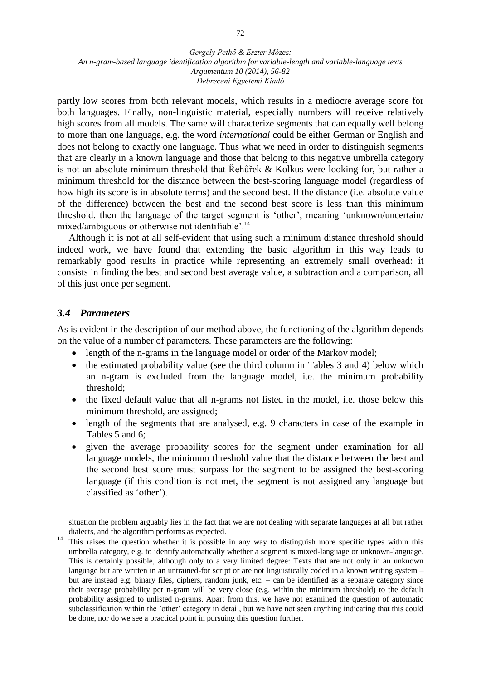partly low scores from both relevant models, which results in a mediocre average score for both languages. Finally, non-linguistic material, especially numbers will receive relatively high scores from all models. The same will characterize segments that can equally well belong to more than one language, e.g. the word *international* could be either German or English and does not belong to exactly one language. Thus what we need in order to distinguish segments that are clearly in a known language and those that belong to this negative umbrella category is not an absolute minimum threshold that Řehůřek & Kolkus were looking for, but rather a minimum threshold for the distance between the best-scoring language model (regardless of how high its score is in absolute terms) and the second best. If the distance (i.e. absolute value of the difference) between the best and the second best score is less than this minimum threshold, then the language of the target segment is 'other', meaning 'unknown/uncertain/ mixed/ambiguous or otherwise not identifiable'.<sup>14</sup>

Although it is not at all self-evident that using such a minimum distance threshold should indeed work, we have found that extending the basic algorithm in this way leads to remarkably good results in practice while representing an extremely small overhead: it consists in finding the best and second best average value, a subtraction and a comparison, all of this just once per segment.

### *3.4 Parameters*

 $\overline{a}$ 

As is evident in the description of our method above, the functioning of the algorithm depends on the value of a number of parameters. These parameters are the following:

- length of the n-grams in the language model or order of the Markov model;
- the estimated probability value (see the third column in Tables 3 and 4) below which an n-gram is excluded from the language model, i.e. the minimum probability threshold;
- the fixed default value that all n-grams not listed in the model, i.e. those below this minimum threshold, are assigned;
- length of the segments that are analysed, e.g. 9 characters in case of the example in Tables 5 and 6;
- given the average probability scores for the segment under examination for all language models, the minimum threshold value that the distance between the best and the second best score must surpass for the segment to be assigned the best-scoring language (if this condition is not met, the segment is not assigned any language but classified as 'other').

situation the problem arguably lies in the fact that we are not dealing with separate languages at all but rather dialects, and the algorithm performs as expected.

<sup>&</sup>lt;sup>14</sup> This raises the question whether it is possible in any way to distinguish more specific types within this umbrella category, e.g. to identify automatically whether a segment is mixed-language or unknown-language. This is certainly possible, although only to a very limited degree: Texts that are not only in an unknown language but are written in an untrained-for script or are not linguistically coded in a known writing system – but are instead e.g. binary files, ciphers, random junk, etc. – can be identified as a separate category since their average probability per n-gram will be very close (e.g. within the minimum threshold) to the default probability assigned to unlisted n-grams. Apart from this, we have not examined the question of automatic subclassification within the 'other' category in detail, but we have not seen anything indicating that this could be done, nor do we see a practical point in pursuing this question further.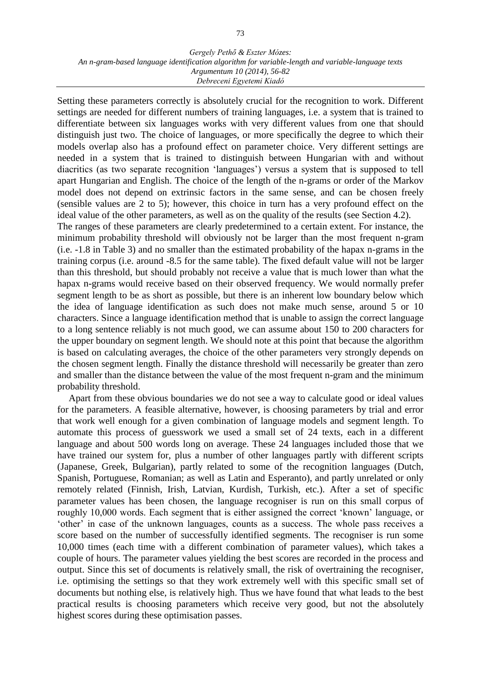Setting these parameters correctly is absolutely crucial for the recognition to work. Different settings are needed for different numbers of training languages, i.e. a system that is trained to differentiate between six languages works with very different values from one that should distinguish just two. The choice of languages, or more specifically the degree to which their models overlap also has a profound effect on parameter choice. Very different settings are needed in a system that is trained to distinguish between Hungarian with and without diacritics (as two separate recognition 'languages') versus a system that is supposed to tell apart Hungarian and English. The choice of the length of the n-grams or order of the Markov model does not depend on extrinsic factors in the same sense, and can be chosen freely (sensible values are 2 to 5); however, this choice in turn has a very profound effect on the ideal value of the other parameters, as well as on the quality of the results (see Section 4.2).

The ranges of these parameters are clearly predetermined to a certain extent. For instance, the minimum probability threshold will obviously not be larger than the most frequent n-gram (i.e. -1.8 in Table 3) and no smaller than the estimated probability of the hapax n-grams in the training corpus (i.e. around -8.5 for the same table). The fixed default value will not be larger than this threshold, but should probably not receive a value that is much lower than what the hapax n-grams would receive based on their observed frequency. We would normally prefer segment length to be as short as possible, but there is an inherent low boundary below which the idea of language identification as such does not make much sense, around 5 or 10 characters. Since a language identification method that is unable to assign the correct language to a long sentence reliably is not much good, we can assume about 150 to 200 characters for the upper boundary on segment length. We should note at this point that because the algorithm is based on calculating averages, the choice of the other parameters very strongly depends on the chosen segment length. Finally the distance threshold will necessarily be greater than zero and smaller than the distance between the value of the most frequent n-gram and the minimum probability threshold.

Apart from these obvious boundaries we do not see a way to calculate good or ideal values for the parameters. A feasible alternative, however, is choosing parameters by trial and error that work well enough for a given combination of language models and segment length. To automate this process of guesswork we used a small set of 24 texts, each in a different language and about 500 words long on average. These 24 languages included those that we have trained our system for, plus a number of other languages partly with different scripts (Japanese, Greek, Bulgarian), partly related to some of the recognition languages (Dutch, Spanish, Portuguese, Romanian; as well as Latin and Esperanto), and partly unrelated or only remotely related (Finnish, Irish, Latvian, Kurdish, Turkish, etc.). After a set of specific parameter values has been chosen, the language recogniser is run on this small corpus of roughly 10,000 words. Each segment that is either assigned the correct 'known' language, or 'other' in case of the unknown languages, counts as a success. The whole pass receives a score based on the number of successfully identified segments. The recogniser is run some 10,000 times (each time with a different combination of parameter values), which takes a couple of hours. The parameter values yielding the best scores are recorded in the process and output. Since this set of documents is relatively small, the risk of overtraining the recogniser, i.e. optimising the settings so that they work extremely well with this specific small set of documents but nothing else, is relatively high. Thus we have found that what leads to the best practical results is choosing parameters which receive very good, but not the absolutely highest scores during these optimisation passes.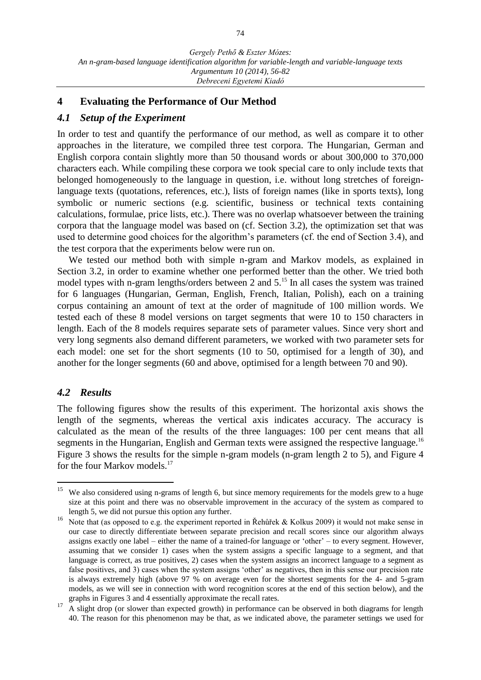### **4 Evaluating the Performance of Our Method**

### *4.1 Setup of the Experiment*

In order to test and quantify the performance of our method, as well as compare it to other approaches in the literature, we compiled three test corpora. The Hungarian, German and English corpora contain slightly more than 50 thousand words or about 300,000 to 370,000 characters each. While compiling these corpora we took special care to only include texts that belonged homogeneously to the language in question, i.e. without long stretches of foreignlanguage texts (quotations, references, etc.), lists of foreign names (like in sports texts), long symbolic or numeric sections (e.g. scientific, business or technical texts containing calculations, formulae, price lists, etc.). There was no overlap whatsoever between the training corpora that the language model was based on (cf. Section 3.2), the optimization set that was used to determine good choices for the algorithm's parameters (cf. the end of Section 3.4), and the test corpora that the experiments below were run on.

We tested our method both with simple n-gram and Markov models, as explained in Section 3.2, in order to examine whether one performed better than the other. We tried both model types with n-gram lengths/orders between 2 and 5.<sup>15</sup> In all cases the system was trained for 6 languages (Hungarian, German, English, French, Italian, Polish), each on a training corpus containing an amount of text at the order of magnitude of 100 million words. We tested each of these 8 model versions on target segments that were 10 to 150 characters in length. Each of the 8 models requires separate sets of parameter values. Since very short and very long segments also demand different parameters, we worked with two parameter sets for each model: one set for the short segments (10 to 50, optimised for a length of 30), and another for the longer segments (60 and above, optimised for a length between 70 and 90).

### *4.2 Results*

<span id="page-18-0"></span> $\overline{a}$ 

The following figures show the results of this experiment. The horizontal axis shows the length of the segments, whereas the vertical axis indicates accuracy. The accuracy is calculated as the mean of the results of the three languages: 100 per cent means that all segments in the Hungarian, English and German texts were assigned the respective language.<sup>16</sup> Figure 3 shows the results for the simple n-gram models (n-gram length 2 to 5), and Figure 4 for the four Markov models.<sup>17</sup>

We also considered using n-grams of length 6, but since memory requirements for the models grew to a huge size at this point and there was no observable improvement in the accuracy of the system as compared to length 5, we did not pursue this option any further.

<sup>16</sup> Note that (as opposed to e.g. the experiment reported in Řehůřek & Kolkus 2009) it would not make sense in our case to directly differentiate between separate precision and recall scores since our algorithm always assigns exactly one label – either the name of a trained-for language or 'other' – to every segment. However, assuming that we consider 1) cases when the system assigns a specific language to a segment, and that language is correct, as true positives, 2) cases when the system assigns an incorrect language to a segment as false positives, and 3) cases when the system assigns 'other' as negatives, then in this sense our precision rate is always extremely high (above 97 % on average even for the shortest segments for the 4- and 5-gram models, as we will see in connection with word recognition scores at the end of this section below), and the graphs in Figures 3 and 4 essentially approximate the recall rates.

<sup>&</sup>lt;sup>17</sup> A slight drop (or slower than expected growth) in performance can be observed in both diagrams for length 40. The reason for this phenomenon may be that, as we indicated above, the parameter settings we used for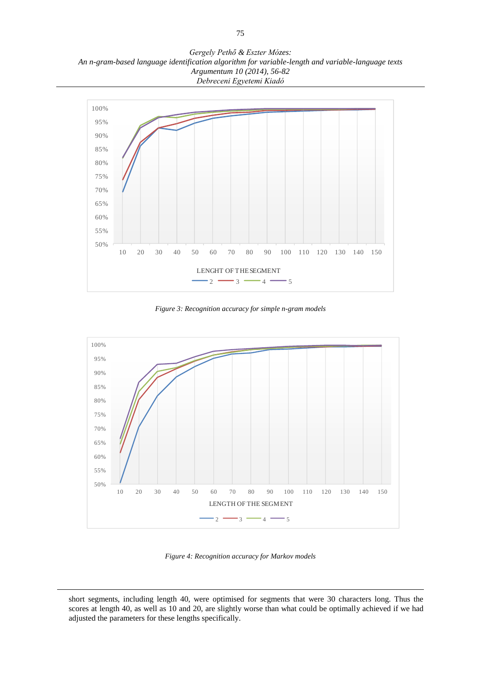*Gergely Pethő & Eszter Mózes: An n-gram-based language identification algorithm for variable-length and variable-language texts Argumentum 10 (2014), 56-82 Debreceni Egyetemi Kiadó*



*Figure 3: Recognition accuracy for simple n-gram models*



*Figure 4: Recognition accuracy for Markov models*

short segments, including length 40, were optimised for segments that were 30 characters long. Thus the scores at length 40, as well as 10 and 20, are slightly worse than what could be optimally achieved if we had adjusted the parameters for these lengths specifically.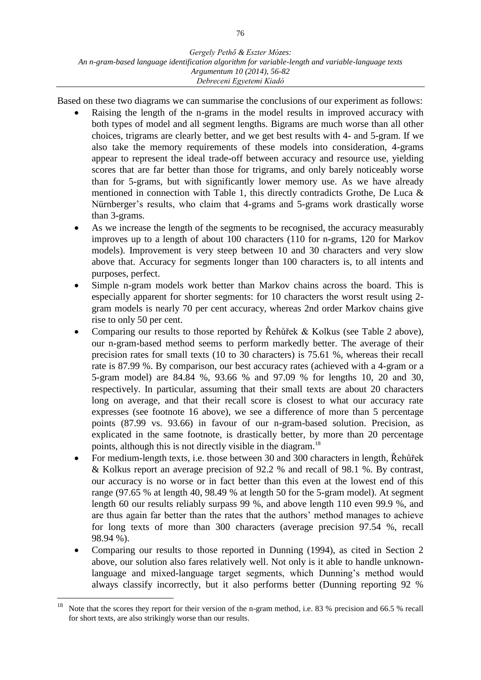Based on these two diagrams we can summarise the conclusions of our experiment as follows:

- Raising the length of the n-grams in the model results in improved accuracy with both types of model and all segment lengths. Bigrams are much worse than all other choices, trigrams are clearly better, and we get best results with 4- and 5-gram. If we also take the memory requirements of these models into consideration, 4-grams appear to represent the ideal trade-off between accuracy and resource use, yielding scores that are far better than those for trigrams, and only barely noticeably worse than for 5-grams, but with significantly lower memory use. As we have already mentioned in connection with Table 1, this directly contradicts Grothe, De Luca & Nürnberger's results, who claim that 4-grams and 5-grams work drastically worse than 3-grams.
- As we increase the length of the segments to be recognised, the accuracy measurably improves up to a length of about 100 characters (110 for n-grams, 120 for Markov models). Improvement is very steep between 10 and 30 characters and very slow above that. Accuracy for segments longer than 100 characters is, to all intents and purposes, perfect.
- Simple n-gram models work better than Markov chains across the board. This is especially apparent for shorter segments: for 10 characters the worst result using 2 gram models is nearly 70 per cent accuracy, whereas 2nd order Markov chains give rise to only 50 per cent.
- Comparing our results to those reported by Řehůřek & Kolkus (see Table 2 above), our n-gram-based method seems to perform markedly better. The average of their precision rates for small texts (10 to 30 characters) is 75.61 %, whereas their recall rate is 87.99 %. By comparison, our best accuracy rates (achieved with a 4-gram or a 5-gram model) are 84.84 %, 93.66 % and 97.09 % for lengths 10, 20 and 30, respectively. In particular, assuming that their small texts are about 20 characters long on average, and that their recall score is closest to what our accuracy rate expresses (see footnote [16](#page-18-0) above), we see a difference of more than 5 percentage points (87.99 vs. 93.66) in favour of our n-gram-based solution. Precision, as explicated in the same footnote, is drastically better, by more than 20 percentage points, although this is not directly visible in the diagram.<sup>18</sup>
- For medium-length texts, i.e. those between 30 and 300 characters in length, Řehůřek & Kolkus report an average precision of 92.2 % and recall of 98.1 %. By contrast, our accuracy is no worse or in fact better than this even at the lowest end of this range (97.65 % at length 40, 98.49 % at length 50 for the 5-gram model). At segment length 60 our results reliably surpass 99 %, and above length 110 even 99.9 %, and are thus again far better than the rates that the authors' method manages to achieve for long texts of more than 300 characters (average precision 97.54 %, recall 98.94 %).
- Comparing our results to those reported in Dunning (1994), as cited in Section 2 above, our solution also fares relatively well. Not only is it able to handle unknownlanguage and mixed-language target segments, which Dunning's method would always classify incorrectly, but it also performs better (Dunning reporting 92 %

<sup>&</sup>lt;sup>18</sup> Note that the scores they report for their version of the n-gram method, i.e. 83 % precision and 66.5 % recall for short texts, are also strikingly worse than our results.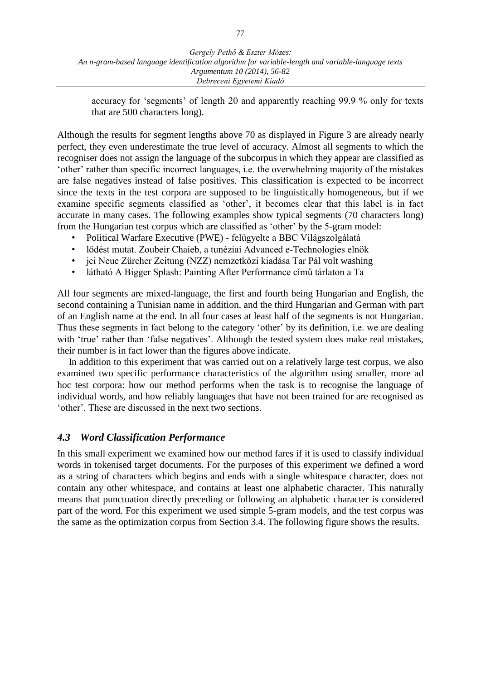accuracy for 'segments' of length 20 and apparently reaching 99.9 % only for texts that are 500 characters long).

Although the results for segment lengths above 70 as displayed in Figure 3 are already nearly perfect, they even underestimate the true level of accuracy. Almost all segments to which the recogniser does not assign the language of the subcorpus in which they appear are classified as 'other' rather than specific incorrect languages, i.e. the overwhelming majority of the mistakes are false negatives instead of false positives. This classification is expected to be incorrect since the texts in the test corpora are supposed to be linguistically homogeneous, but if we examine specific segments classified as 'other', it becomes clear that this label is in fact accurate in many cases. The following examples show typical segments (70 characters long) from the Hungarian test corpus which are classified as 'other' by the 5-gram model:

- Political Warfare Executive (PWE) felügyelte a BBC Világszolgálatá
- lődést mutat. Zoubeir Chaieb, a tunéziai Advanced e-Technologies elnök
- jci Neue Zürcher Zeitung (NZZ) nemzetközi kiadása Tar Pál volt washing
- látható A Bigger Splash: Painting After Performance című tárlaton a Ta

All four segments are mixed-language, the first and fourth being Hungarian and English, the second containing a Tunisian name in addition, and the third Hungarian and German with part of an English name at the end. In all four cases at least half of the segments is not Hungarian. Thus these segments in fact belong to the category 'other' by its definition, i.e. we are dealing with 'true' rather than 'false negatives'. Although the tested system does make real mistakes, their number is in fact lower than the figures above indicate.

In addition to this experiment that was carried out on a relatively large test corpus, we also examined two specific performance characteristics of the algorithm using smaller, more ad hoc test corpora: how our method performs when the task is to recognise the language of individual words, and how reliably languages that have not been trained for are recognised as 'other'. These are discussed in the next two sections.

### *4.3 Word Classification Performance*

In this small experiment we examined how our method fares if it is used to classify individual words in tokenised target documents. For the purposes of this experiment we defined a word as a string of characters which begins and ends with a single whitespace character, does not contain any other whitespace, and contains at least one alphabetic character. This naturally means that punctuation directly preceding or following an alphabetic character is considered part of the word. For this experiment we used simple 5-gram models, and the test corpus was the same as the optimization corpus from Section 3.4. The following figure shows the results.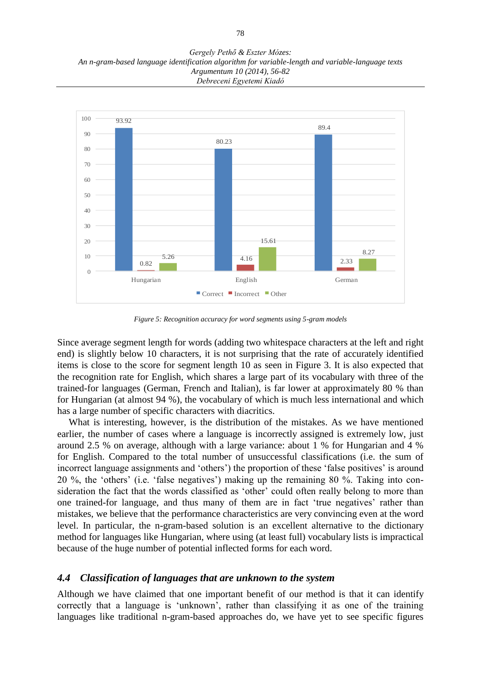*Gergely Pethő & Eszter Mózes: An n-gram-based language identification algorithm for variable-length and variable-language texts Argumentum 10 (2014), 56-82 Debreceni Egyetemi Kiadó*



*Figure 5: Recognition accuracy for word segments using 5-gram models*

Since average segment length for words (adding two whitespace characters at the left and right end) is slightly below 10 characters, it is not surprising that the rate of accurately identified items is close to the score for segment length 10 as seen in Figure 3. It is also expected that the recognition rate for English, which shares a large part of its vocabulary with three of the trained-for languages (German, French and Italian), is far lower at approximately 80 % than for Hungarian (at almost 94 %), the vocabulary of which is much less international and which has a large number of specific characters with diacritics.

What is interesting, however, is the distribution of the mistakes. As we have mentioned earlier, the number of cases where a language is incorrectly assigned is extremely low, just around 2.5 % on average, although with a large variance: about 1 % for Hungarian and 4 % for English. Compared to the total number of unsuccessful classifications (i.e. the sum of incorrect language assignments and 'others') the proportion of these 'false positives' is around 20 %, the 'others' (i.e. 'false negatives') making up the remaining 80 %. Taking into consideration the fact that the words classified as 'other' could often really belong to more than one trained-for language, and thus many of them are in fact 'true negatives' rather than mistakes, we believe that the performance characteristics are very convincing even at the word level. In particular, the n-gram-based solution is an excellent alternative to the dictionary method for languages like Hungarian, where using (at least full) vocabulary lists is impractical because of the huge number of potential inflected forms for each word.

#### *4.4 Classification of languages that are unknown to the system*

Although we have claimed that one important benefit of our method is that it can identify correctly that a language is 'unknown', rather than classifying it as one of the training languages like traditional n-gram-based approaches do, we have yet to see specific figures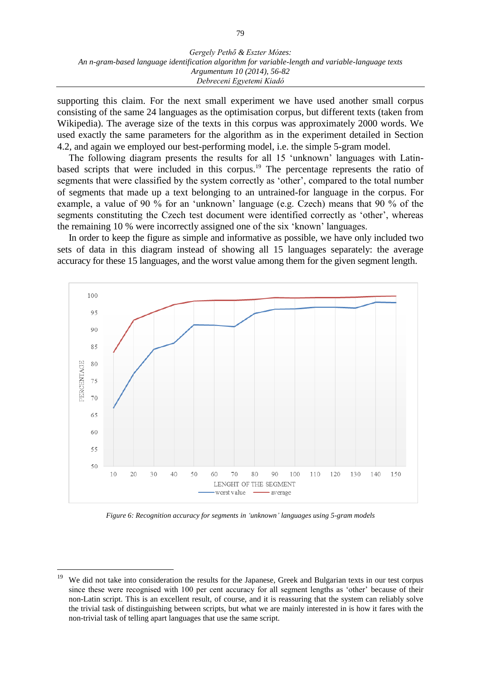supporting this claim. For the next small experiment we have used another small corpus consisting of the same 24 languages as the optimisation corpus, but different texts (taken from Wikipedia). The average size of the texts in this corpus was approximately 2000 words. We used exactly the same parameters for the algorithm as in the experiment detailed in Section 4.2, and again we employed our best-performing model, i.e. the simple 5-gram model.

The following diagram presents the results for all 15 'unknown' languages with Latinbased scripts that were included in this corpus.<sup>19</sup> The percentage represents the ratio of segments that were classified by the system correctly as 'other', compared to the total number of segments that made up a text belonging to an untrained-for language in the corpus. For example, a value of 90 % for an 'unknown' language (e.g. Czech) means that 90 % of the segments constituting the Czech test document were identified correctly as 'other', whereas the remaining 10 % were incorrectly assigned one of the six 'known' languages.

In order to keep the figure as simple and informative as possible, we have only included two sets of data in this diagram instead of showing all 15 languages separately: the average accuracy for these 15 languages, and the worst value among them for the given segment length.



*Figure 6: Recognition accuracy for segments in 'unknown' languages using 5-gram models*

We did not take into consideration the results for the Japanese, Greek and Bulgarian texts in our test corpus since these were recognised with 100 per cent accuracy for all segment lengths as 'other' because of their non-Latin script. This is an excellent result, of course, and it is reassuring that the system can reliably solve the trivial task of distinguishing between scripts, but what we are mainly interested in is how it fares with the non-trivial task of telling apart languages that use the same script.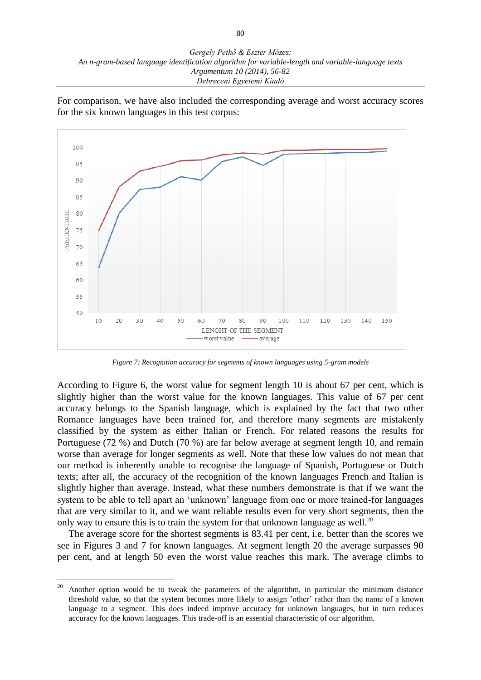*Gergely Pethő & Eszter Mózes: An n-gram-based language identification algorithm for variable-length and variable-language texts Argumentum 10 (2014), 56-82 Debreceni Egyetemi Kiadó*

For comparison, we have also included the corresponding average and worst accuracy scores for the six known languages in this test corpus:



*Figure 7: Recognition accuracy for segments of known languages using 5-gram models*

According to Figure 6, the worst value for segment length 10 is about 67 per cent, which is slightly higher than the worst value for the known languages. This value of 67 per cent accuracy belongs to the Spanish language, which is explained by the fact that two other Romance languages have been trained for, and therefore many segments are mistakenly classified by the system as either Italian or French. For related reasons the results for Portuguese (72 %) and Dutch (70 %) are far below average at segment length 10, and remain worse than average for longer segments as well. Note that these low values do not mean that our method is inherently unable to recognise the language of Spanish, Portuguese or Dutch texts; after all, the accuracy of the recognition of the known languages French and Italian is slightly higher than average. Instead, what these numbers demonstrate is that if we want the system to be able to tell apart an 'unknown' language from one or more trained-for languages that are very similar to it, and we want reliable results even for very short segments, then the only way to ensure this is to train the system for that unknown language as well.<sup>20</sup>

The average score for the shortest segments is 83.41 per cent, i.e. better than the scores we see in Figures 3 and 7 for known languages. At segment length 20 the average surpasses 90 per cent, and at length 50 even the worst value reaches this mark. The average climbs to

<sup>20</sup> <sup>20</sup> Another option would be to tweak the parameters of the algorithm, in particular the minimum distance threshold value, so that the system becomes more likely to assign 'other' rather than the name of a known language to a segment. This does indeed improve accuracy for unknown languages, but in turn reduces accuracy for the known languages. This trade-off is an essential characteristic of our algorithm.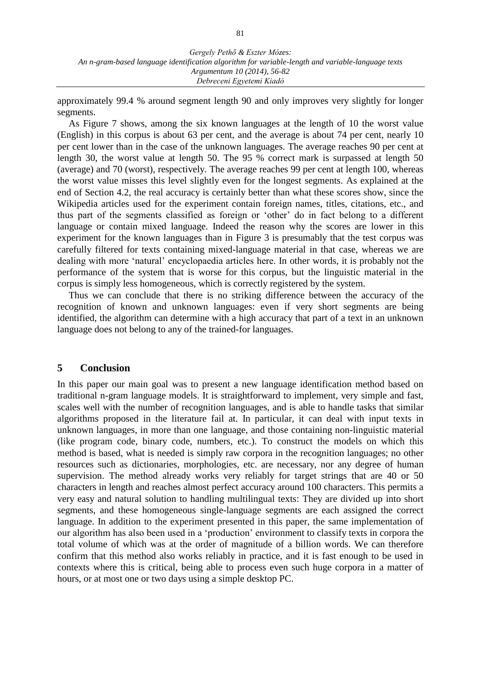approximately 99.4 % around segment length 90 and only improves very slightly for longer segments.

As Figure 7 shows, among the six known languages at the length of 10 the worst value (English) in this corpus is about 63 per cent, and the average is about 74 per cent, nearly 10 per cent lower than in the case of the unknown languages. The average reaches 90 per cent at length 30, the worst value at length 50. The 95 % correct mark is surpassed at length 50 (average) and 70 (worst), respectively. The average reaches 99 per cent at length 100, whereas the worst value misses this level slightly even for the longest segments. As explained at the end of Section 4.2, the real accuracy is certainly better than what these scores show, since the Wikipedia articles used for the experiment contain foreign names, titles, citations, etc., and thus part of the segments classified as foreign or 'other' do in fact belong to a different language or contain mixed language. Indeed the reason why the scores are lower in this experiment for the known languages than in Figure 3 is presumably that the test corpus was carefully filtered for texts containing mixed-language material in that case, whereas we are dealing with more 'natural' encyclopaedia articles here. In other words, it is probably not the performance of the system that is worse for this corpus, but the linguistic material in the corpus is simply less homogeneous, which is correctly registered by the system.

Thus we can conclude that there is no striking difference between the accuracy of the recognition of known and unknown languages: even if very short segments are being identified, the algorithm can determine with a high accuracy that part of a text in an unknown language does not belong to any of the trained-for languages.

### **5 Conclusion**

In this paper our main goal was to present a new language identification method based on traditional n-gram language models. It is straightforward to implement, very simple and fast, scales well with the number of recognition languages, and is able to handle tasks that similar algorithms proposed in the literature fail at. In particular, it can deal with input texts in unknown languages, in more than one language, and those containing non-linguistic material (like program code, binary code, numbers, etc.). To construct the models on which this method is based, what is needed is simply raw corpora in the recognition languages; no other resources such as dictionaries, morphologies, etc. are necessary, nor any degree of human supervision. The method already works very reliably for target strings that are 40 or 50 characters in length and reaches almost perfect accuracy around 100 characters. This permits a very easy and natural solution to handling multilingual texts: They are divided up into short segments, and these homogeneous single-language segments are each assigned the correct language. In addition to the experiment presented in this paper, the same implementation of our algorithm has also been used in a 'production' environment to classify texts in corpora the total volume of which was at the order of magnitude of a billion words. We can therefore confirm that this method also works reliably in practice, and it is fast enough to be used in contexts where this is critical, being able to process even such huge corpora in a matter of hours, or at most one or two days using a simple desktop PC.